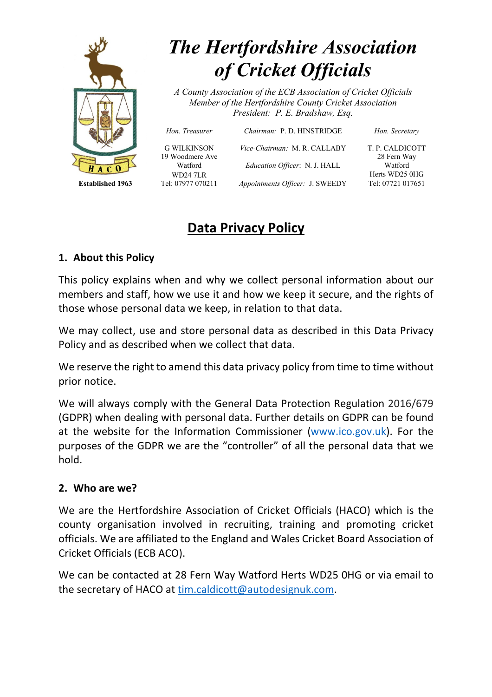

# *The Hertfordshire Association of Cricket Officials*

*A County Association of the ECB Association of Cricket Officials Member of the Hertfordshire County Cricket Association President: P. E. Bradshaw, Esq.*

*Hon. Treasurer Chairman:* P. D. HINSTRIDGE *Hon. Secretary*

G WILKINSON *Vice-Chairman:* M. R. CALLABY T. P. CALDICOTT 19 Woodmere Ave 28 Fern Way Watford *Education Officer*: N. J. HALL Watford WD24 7LR Herts WD25 0HG **Established 1963** Tel: 07977 070211 *Appointments Officer:* J. SWEEDY Tel: 07721 017651

## **Data Privacy Policy**

#### **1. About this Policy**

This policy explains when and why we collect personal information about our members and staff, how we use it and how we keep it secure, and the rights of those whose personal data we keep, in relation to that data.

We may collect, use and store personal data as described in this Data Privacy Policy and as described when we collect that data.

We reserve the right to amend this data privacy policy from time to time without prior notice.

We will always comply with the General Data Protection Regulation 2016/679 (GDPR) when dealing with personal data. Further details on GDPR can be found at the website for the Information Commissioner (www.ico.gov.uk). For the purposes of the GDPR we are the "controller" of all the personal data that we hold.

#### **2. Who are we?**

We are the Hertfordshire Association of Cricket Officials (HACO) which is the county organisation involved in recruiting, training and promoting cricket officials. We are affiliated to the England and Wales Cricket Board Association of Cricket Officials (ECB ACO).

We can be contacted at 28 Fern Way Watford Herts WD25 0HG or via email to the secretary of HACO at tim.caldicott@autodesignuk.com.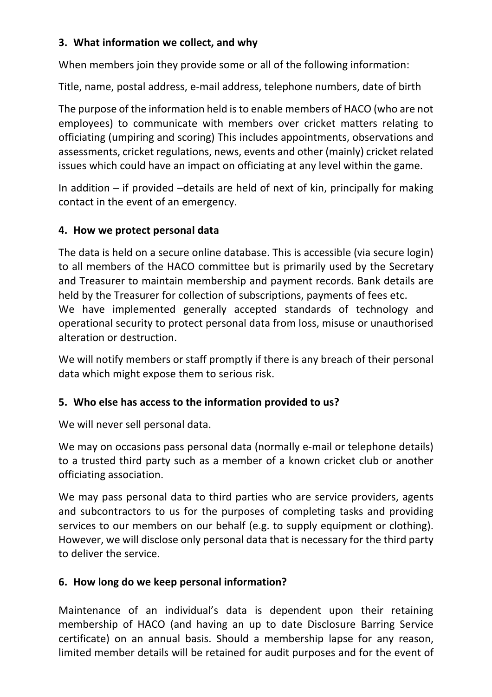#### **3. What information we collect, and why**

When members join they provide some or all of the following information:

Title, name, postal address, e-mail address, telephone numbers, date of birth

The purpose of the information held is to enable members of HACO (who are not employees) to communicate with members over cricket matters relating to officiating (umpiring and scoring) This includes appointments, observations and assessments, cricket regulations, news, events and other (mainly) cricket related issues which could have an impact on officiating at any level within the game.

In addition – if provided –details are held of next of kin, principally for making contact in the event of an emergency.

#### **4. How we protect personal data**

The data is held on a secure online database. This is accessible (via secure login) to all members of the HACO committee but is primarily used by the Secretary and Treasurer to maintain membership and payment records. Bank details are held by the Treasurer for collection of subscriptions, payments of fees etc. We have implemented generally accepted standards of technology and operational security to protect personal data from loss, misuse or unauthorised alteration or destruction.

We will notify members or staff promptly if there is any breach of their personal data which might expose them to serious risk.

### **5. Who else has access to the information provided to us?**

We will never sell personal data.

We may on occasions pass personal data (normally e-mail or telephone details) to a trusted third party such as a member of a known cricket club or another officiating association.

We may pass personal data to third parties who are service providers, agents and subcontractors to us for the purposes of completing tasks and providing services to our members on our behalf (e.g. to supply equipment or clothing). However, we will disclose only personal data that is necessary for the third party to deliver the service.

### **6. How long do we keep personal information?**

Maintenance of an individual's data is dependent upon their retaining membership of HACO (and having an up to date Disclosure Barring Service certificate) on an annual basis. Should a membership lapse for any reason, limited member details will be retained for audit purposes and for the event of